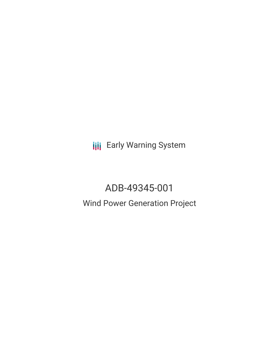**III** Early Warning System

# ADB-49345-001

# Wind Power Generation Project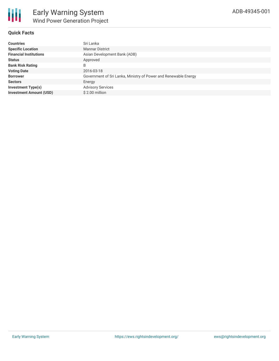### **Quick Facts**

| <b>Countries</b>               | Sri Lanka                                                       |
|--------------------------------|-----------------------------------------------------------------|
| <b>Specific Location</b>       | <b>Mannar District</b>                                          |
| <b>Financial Institutions</b>  | Asian Development Bank (ADB)                                    |
| <b>Status</b>                  | Approved                                                        |
| <b>Bank Risk Rating</b>        | B                                                               |
| <b>Voting Date</b>             | 2016-03-18                                                      |
| <b>Borrower</b>                | Government of Sri Lanka, Ministry of Power and Renewable Energy |
| <b>Sectors</b>                 | Energy                                                          |
| <b>Investment Type(s)</b>      | <b>Advisory Services</b>                                        |
| <b>Investment Amount (USD)</b> | \$2.00 million                                                  |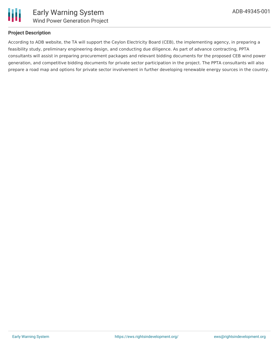

#### **Project Description**

According to ADB website, the TA will support the Ceylon Electricity Board (CEB), the implementing agency, in preparing a feasibility study, preliminary engineering design, and conducting due diligence. As part of advance contracting, PPTA consultants will assist in preparing procurement packages and relevant bidding documents for the proposed CEB wind power generation, and competitive bidding documents for private sector participation in the project. The PPTA consultants will also prepare a road map and options for private sector involvement in further developing renewable energy sources in the country.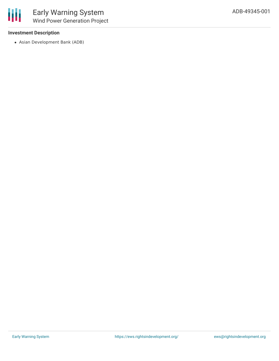#### **Investment Description**

Asian Development Bank (ADB)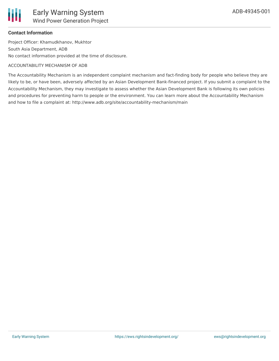

#### **Contact Information**

Project Officer: Khamudkhanov, Mukhtor South Asia Department, ADB No contact information provided at the time of disclosure.

#### ACCOUNTABILITY MECHANISM OF ADB

The Accountability Mechanism is an independent complaint mechanism and fact-finding body for people who believe they are likely to be, or have been, adversely affected by an Asian Development Bank-financed project. If you submit a complaint to the Accountability Mechanism, they may investigate to assess whether the Asian Development Bank is following its own policies and procedures for preventing harm to people or the environment. You can learn more about the Accountability Mechanism and how to file a complaint at: http://www.adb.org/site/accountability-mechanism/main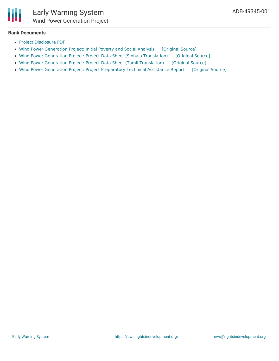#### **Bank Documents**

- Project [Disclosure](https://www.adb.org/printpdf/projects/49345-001/main) PDF
- Wind Power [Generation](https://ewsdata.rightsindevelopment.org/files/documents/01/ADB-49345-001_AEDABS9.pdf) Project: Initial Poverty and Social Analysis [\[Original](https://www.adb.org/projects/documents/sri-wind-power-generation-project-ipsa) Source]
- Wind Power Generation Project: Project Data Sheet (Sinhala [Translation\)](https://ewsdata.rightsindevelopment.org/files/documents/01/ADB-49345-001_tInRbui.pdf) [\[Original](https://www.adb.org/si/projects/documents/49345-001-project-data-sheet) Source]
- Wind Power Generation Project: Project Data Sheet (Tamil [Translation\)](https://ewsdata.rightsindevelopment.org/files/documents/01/ADB-49345-001_FV1dHA3.pdf) [\[Original](https://www.adb.org/ta/projects/documents/49345-001-project-data-sheet) Source]
- Wind Power Generation Project: Project [Preparatory](https://ewsdata.rightsindevelopment.org/files/documents/01/ADB-49345-001.pdf) Technical Assistance Report [\[Original](https://www.adb.org/projects/documents/sri-wind-power-generation-project-pptar) Source]